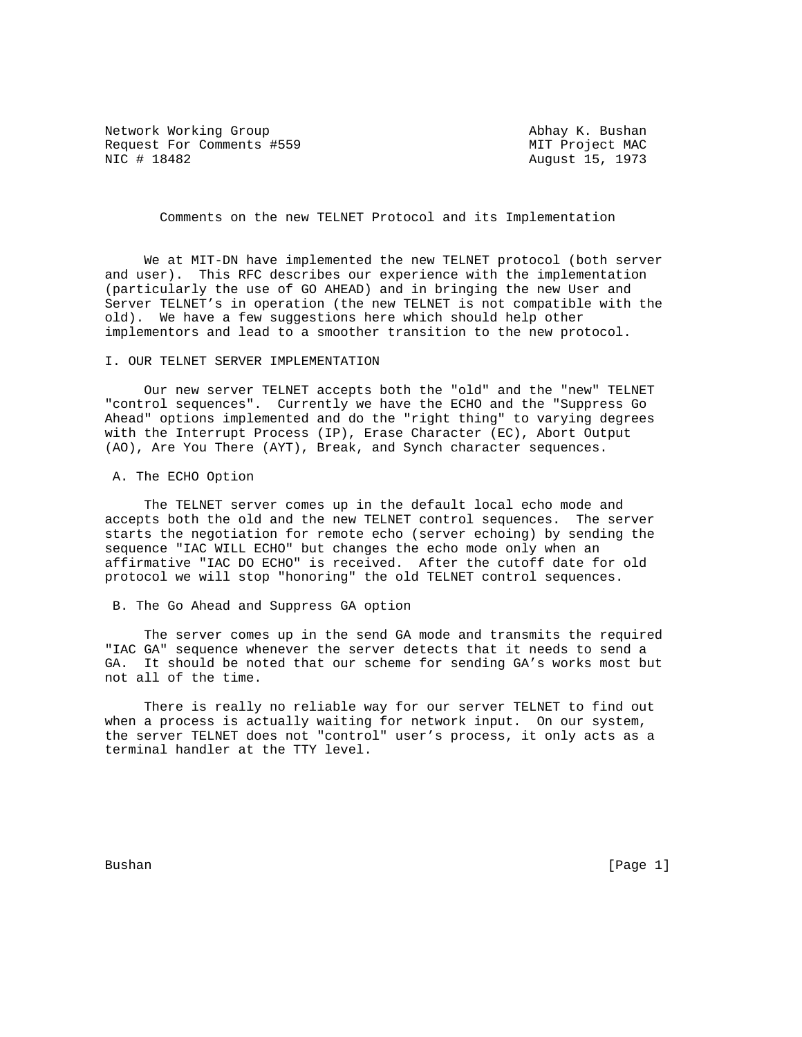Network Working Group and Abhay K. Bushan Request For Comments #559 MIT Project MAC NIC # 18482 **August 15, 1973** 

Comments on the new TELNET Protocol and its Implementation

 We at MIT-DN have implemented the new TELNET protocol (both server and user). This RFC describes our experience with the implementation (particularly the use of GO AHEAD) and in bringing the new User and Server TELNET's in operation (the new TELNET is not compatible with the old). We have a few suggestions here which should help other implementors and lead to a smoother transition to the new protocol.

## I. OUR TELNET SERVER IMPLEMENTATION

 Our new server TELNET accepts both the "old" and the "new" TELNET "control sequences". Currently we have the ECHO and the "Suppress Go Ahead" options implemented and do the "right thing" to varying degrees with the Interrupt Process (IP), Erase Character (EC), Abort Output (AO), Are You There (AYT), Break, and Synch character sequences.

A. The ECHO Option

 The TELNET server comes up in the default local echo mode and accepts both the old and the new TELNET control sequences. The server starts the negotiation for remote echo (server echoing) by sending the sequence "IAC WILL ECHO" but changes the echo mode only when an affirmative "IAC DO ECHO" is received. After the cutoff date for old protocol we will stop "honoring" the old TELNET control sequences.

B. The Go Ahead and Suppress GA option

 The server comes up in the send GA mode and transmits the required "IAC GA" sequence whenever the server detects that it needs to send a GA. It should be noted that our scheme for sending GA's works most but not all of the time.

 There is really no reliable way for our server TELNET to find out when a process is actually waiting for network input. On our system, the server TELNET does not "control" user's process, it only acts as a terminal handler at the TTY level.

Bushan [Page 1]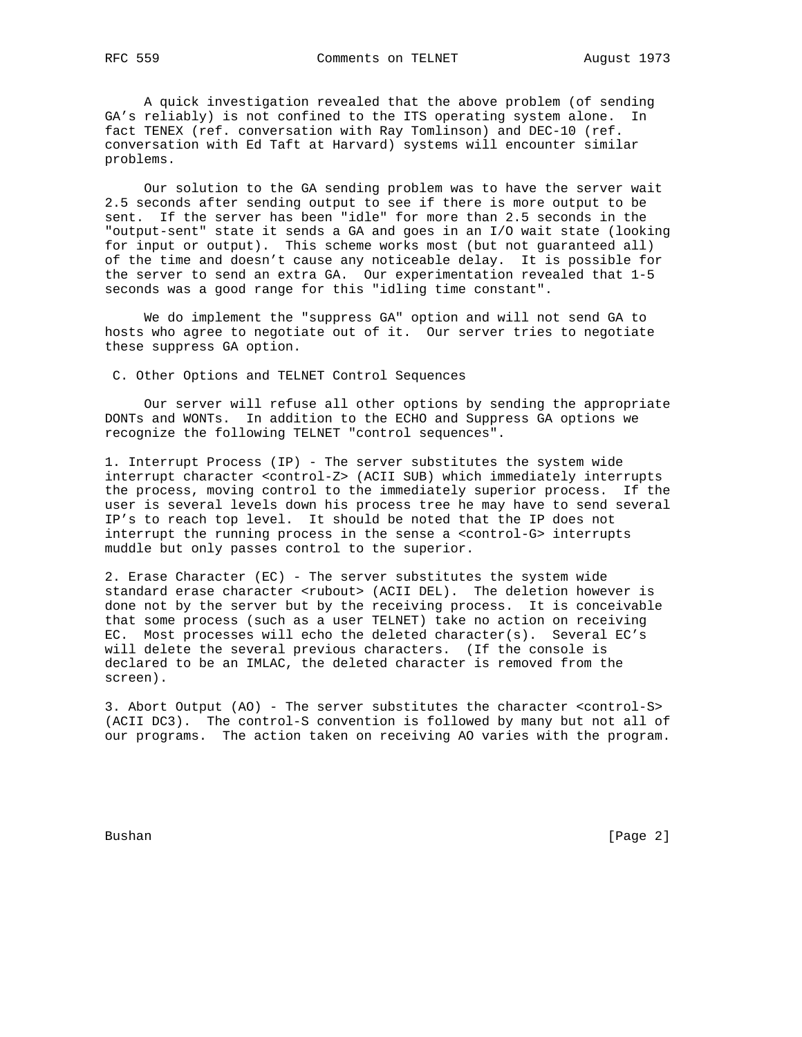A quick investigation revealed that the above problem (of sending GA's reliably) is not confined to the ITS operating system alone. In fact TENEX (ref. conversation with Ray Tomlinson) and DEC-10 (ref. conversation with Ed Taft at Harvard) systems will encounter similar problems.

 Our solution to the GA sending problem was to have the server wait 2.5 seconds after sending output to see if there is more output to be sent. If the server has been "idle" for more than 2.5 seconds in the "output-sent" state it sends a GA and goes in an I/O wait state (looking for input or output). This scheme works most (but not guaranteed all) of the time and doesn't cause any noticeable delay. It is possible for the server to send an extra GA. Our experimentation revealed that 1-5 seconds was a good range for this "idling time constant".

 We do implement the "suppress GA" option and will not send GA to hosts who agree to negotiate out of it. Our server tries to negotiate these suppress GA option.

C. Other Options and TELNET Control Sequences

 Our server will refuse all other options by sending the appropriate DONTs and WONTs. In addition to the ECHO and Suppress GA options we recognize the following TELNET "control sequences".

1. Interrupt Process (IP) - The server substitutes the system wide interrupt character <control-Z> (ACII SUB) which immediately interrupts the process, moving control to the immediately superior process. If the user is several levels down his process tree he may have to send several IP's to reach top level. It should be noted that the IP does not interrupt the running process in the sense a <control-G> interrupts muddle but only passes control to the superior.

2. Erase Character (EC) - The server substitutes the system wide standard erase character <rubout> (ACII DEL). The deletion however is done not by the server but by the receiving process. It is conceivable that some process (such as a user TELNET) take no action on receiving EC. Most processes will echo the deleted character(s). Several EC's will delete the several previous characters. (If the console is declared to be an IMLAC, the deleted character is removed from the screen).

3. Abort Output (AO) - The server substitutes the character <control-S> (ACII DC3). The control-S convention is followed by many but not all of our programs. The action taken on receiving AO varies with the program.

Bushan [Page 2]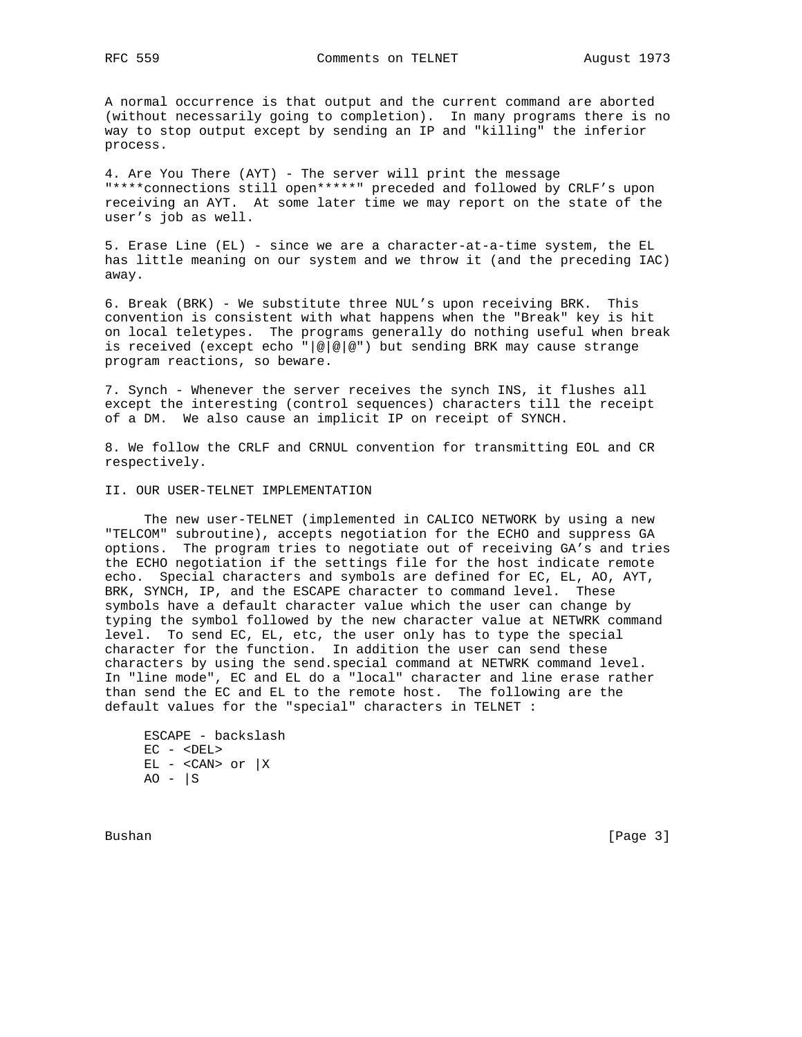A normal occurrence is that output and the current command are aborted (without necessarily going to completion). In many programs there is no way to stop output except by sending an IP and "killing" the inferior process.

4. Are You There (AYT) - The server will print the message "\*\*\*\*connections still open\*\*\*\*\*" preceded and followed by CRLF's upon receiving an AYT. At some later time we may report on the state of the user's job as well.

5. Erase Line (EL) - since we are a character-at-a-time system, the EL has little meaning on our system and we throw it (and the preceding IAC) away.

6. Break (BRK) - We substitute three NUL's upon receiving BRK. This convention is consistent with what happens when the "Break" key is hit on local teletypes. The programs generally do nothing useful when break is received (except echo "|@|@|@") but sending BRK may cause strange program reactions, so beware.

7. Synch - Whenever the server receives the synch INS, it flushes all except the interesting (control sequences) characters till the receipt of a DM. We also cause an implicit IP on receipt of SYNCH.

8. We follow the CRLF and CRNUL convention for transmitting EOL and CR respectively.

## II. OUR USER-TELNET IMPLEMENTATION

 The new user-TELNET (implemented in CALICO NETWORK by using a new "TELCOM" subroutine), accepts negotiation for the ECHO and suppress GA options. The program tries to negotiate out of receiving GA's and tries the ECHO negotiation if the settings file for the host indicate remote echo. Special characters and symbols are defined for EC, EL, AO, AYT, BRK, SYNCH, IP, and the ESCAPE character to command level. These symbols have a default character value which the user can change by typing the symbol followed by the new character value at NETWRK command level. To send EC, EL, etc, the user only has to type the special character for the function. In addition the user can send these characters by using the send.special command at NETWRK command level. In "line mode", EC and EL do a "local" character and line erase rather than send the EC and EL to the remote host. The following are the default values for the "special" characters in TELNET :

 ESCAPE - backslash  $EC -$  $EL - > or  $|X|$$  $AO - |S$ 

Bushan [Page 3]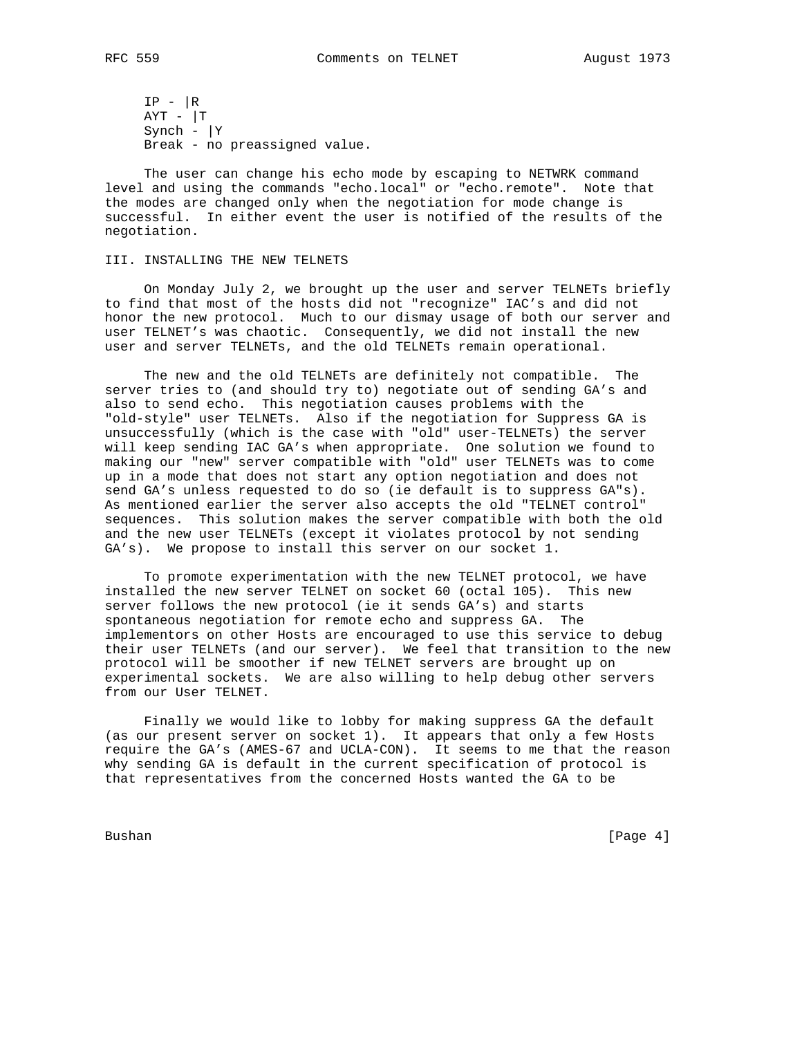$IP - |R$  $AYT - |T$ Synch -  $|Y|$ Break - no preassigned value.

 The user can change his echo mode by escaping to NETWRK command level and using the commands "echo.local" or "echo.remote". Note that the modes are changed only when the negotiation for mode change is successful. In either event the user is notified of the results of the negotiation.

## III. INSTALLING THE NEW TELNETS

 On Monday July 2, we brought up the user and server TELNETs briefly to find that most of the hosts did not "recognize" IAC's and did not honor the new protocol. Much to our dismay usage of both our server and user TELNET's was chaotic. Consequently, we did not install the new user and server TELNETs, and the old TELNETs remain operational.

 The new and the old TELNETs are definitely not compatible. The server tries to (and should try to) negotiate out of sending GA's and also to send echo. This negotiation causes problems with the "old-style" user TELNETs. Also if the negotiation for Suppress GA is unsuccessfully (which is the case with "old" user-TELNETs) the server will keep sending IAC GA's when appropriate. One solution we found to making our "new" server compatible with "old" user TELNETs was to come up in a mode that does not start any option negotiation and does not send GA's unless requested to do so (ie default is to suppress GA"s). As mentioned earlier the server also accepts the old "TELNET control" sequences. This solution makes the server compatible with both the old and the new user TELNETs (except it violates protocol by not sending GA's). We propose to install this server on our socket 1.

 To promote experimentation with the new TELNET protocol, we have installed the new server TELNET on socket 60 (octal 105). This new server follows the new protocol (ie it sends GA's) and starts spontaneous negotiation for remote echo and suppress GA. The implementors on other Hosts are encouraged to use this service to debug their user TELNETs (and our server). We feel that transition to the new protocol will be smoother if new TELNET servers are brought up on experimental sockets. We are also willing to help debug other servers from our User TELNET.

 Finally we would like to lobby for making suppress GA the default (as our present server on socket 1). It appears that only a few Hosts require the GA's (AMES-67 and UCLA-CON). It seems to me that the reason why sending GA is default in the current specification of protocol is that representatives from the concerned Hosts wanted the GA to be

Bushan [Page 4]